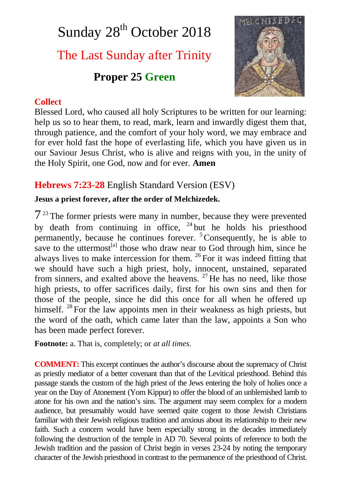# Sunday 28<sup>th</sup> October 2018 The Last Sunday after Trinity **Proper 25 Green**



#### **Collect**

Blessed Lord, who caused all holy Scriptures to be written for our learning: help us so to hear them, to read, mark, learn and inwardly digest them that, through patience, and the comfort of your holy word, we may embrace and for ever hold fast the hope of everlasting life, which you have given us in our Saviour Jesus Christ, who is alive and reigns with you, in the unity of the Holy Spirit, one God, now and for ever. **Amen**

# **Hebrews 7:23-28** English Standard Version (ESV)

## **Jesus a priest forever, after the order of Melchizedek.**

 $7<sup>23</sup>$  The former priests were many in number, because they were prevented by death from continuing in office, <sup>24</sup> but he holds his priesthood permanently, because he continues forever.  $5$ Consequently, he is able to save to the uttermost $^{[a]}$  those who draw near to God through him, since he always lives to make intercession for them. <sup>26</sup> For it was indeed fitting that we should have such a high priest, holy, innocent, unstained, separated from sinners, and exalted above the heavens.  $27$  He has no need, like those high priests, to offer sacrifices daily, first for his own sins and then for those of the people, since he did this once for all when he offered up himself. <sup>28</sup> For the law appoints men in their weakness as high priests, but the word of the oath, which came later than the law, appoints a Son who has been made perfect forever.

**Footnote:** a. That is, completely; or *at all times*.

**COMMENT:** This excerpt continues the author's discourse about the supremacy of Christ as priestly mediator of a better covenant than that of the Levitical priesthood. Behind this passage stands the custom of the high priest of the Jews entering the holy of holies once a year on the Day of Atonement (Yom Kippur) to offer the blood of an unblemished lamb to atone for his own and the nation's sins. The argument may seem complex for a modern audience, but presumably would have seemed quite cogent to those Jewish Christians familiar with their Jewish religious tradition and anxious about its relationship to their new faith. Such a concern would have been especially strong in the decades immediately following the destruction of the temple in AD 70. Several points of reference to both the Jewish tradition and the passion of Christ begin in verses 23-24 by noting the temporary character of the Jewish priesthood in contrast to the permanence of the priesthood of Christ.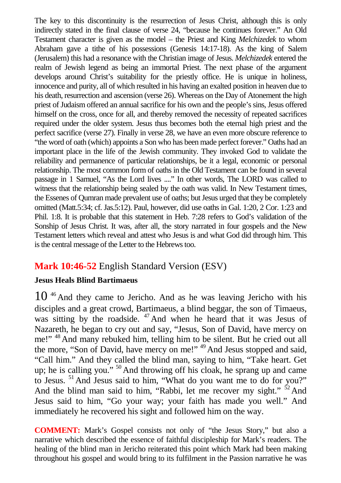The key to this discontinuity is the resurrection of Jesus Christ, although this is only indirectly stated in the final clause of verse 24, "because he continues forever." An Old Testament character is given as the model – the Priest and King *Melchizedek* to whom Abraham gave a tithe of his possessions (Genesis 14:17-18). As the king of Salem (Jerusalem) this had a resonance with the Christian image of Jesus. *Melchizedek* entered the realm of Jewish legend as being an immortal Priest. The next phase of the argument develops around Christ's suitability for the priestly office. He is unique in holiness, innocence and purity, all of which resulted in his having an exalted position in heaven due to his death, resurrection and ascension (verse 26). Whereas on the Day of Atonement the high priest of Judaism offered an annual sacrifice for his own and the people's sins, Jesus offered himself on the cross, once for all, and thereby removed the necessity of repeated sacrifices required under the older system. Jesus thus becomes both the eternal high priest and the perfect sacrifice (verse 27). Finally in verse 28, we have an even more obscure reference to "the word of oath (which) appoints a Son who has been made perfect forever." Oaths had an important place in the life of the Jewish community. They invoked God to validate the reliability and permanence of particular relationships, be it a legal, economic or personal relationship. The most common form of oaths in the Old Testament can be found in several passage in 1 Samuel, "As the Lord lives ...." In other words, The LORD was called to witness that the relationship being sealed by the oath was valid. In New Testament times, the Essenes of Qumran made prevalent use of oaths; but Jesus urged that they be completely omitted (Matt.5:34; cf. Jas.5:12). Paul, however, did use oaths in Gal. 1:20, 2 Cor. 1:23 and Phil. 1:8. It is probable that this statement in Heb. 7:28 refers to God's validation of the Sonship of Jesus Christ. It was, after all, the story narrated in four gospels and the New Testament letters which reveal and attest who Jesus is and what God did through him. This is the central message of the Letter to the Hebrews too.

# **Mark 10:46-52** English Standard Version (ESV)

#### **Jesus Heals Blind Bartimaeus**

 $10<sup>46</sup>$  And they came to Jericho. And as he was leaving Jericho with his disciples and a great crowd, Bartimaeus, a blind beggar, the son of Timaeus, was sitting by the roadside. <sup>47</sup> And when he heard that it was Jesus of Nazareth, he began to cry out and say, "Jesus, Son of David, have mercy on me!" <sup>48</sup> And many rebuked him, telling him to be silent. But he cried out all the more, "Son of David, have mercy on me!" <sup>49</sup> And Jesus stopped and said, "Call him." And they called the blind man, saying to him, "Take heart. Get up; he is calling you."  $50$  And throwing off his cloak, he sprang up and came to Jesus. <sup>51</sup>And Jesus said to him, "What do you want me to do for you?" And the blind man said to him, "Rabbi, let me recover my sight."  $52$  And Jesus said to him, "Go your way; your faith has made you well." And immediately he recovered his sight and followed him on the way.

**COMMENT:** Mark's Gospel consists not only of "the Jesus Story," but also a narrative which described the essence of faithful discipleship for Mark's readers. The healing of the blind man in Jericho reiterated this point which Mark had been making throughout his gospel and would bring to its fulfilment in the Passion narrative he was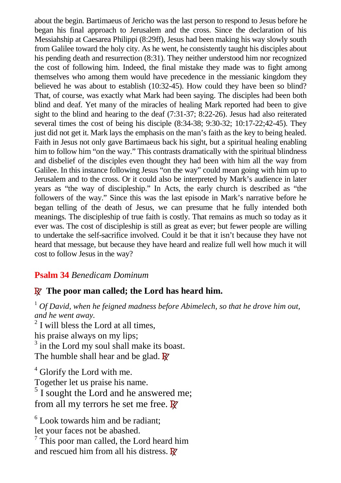about the begin. Bartimaeus of Jericho was the last person to respond to Jesus before he began his final approach to Jerusalem and the cross. Since the declaration of his Messiahship at Caesarea Philippi (8:29ff), Jesus had been making his way slowly south from Galilee toward the holy city. As he went, he consistently taught his disciples about his pending death and resurrection (8:31). They neither understood him nor recognized the cost of following him. Indeed, the final mistake they made was to fight among themselves who among them would have precedence in the messianic kingdom they believed he was about to establish (10:32-45). How could they have been so blind? That, of course, was exactly what Mark had been saying. The disciples had been both blind and deaf. Yet many of the miracles of healing Mark reported had been to give sight to the blind and hearing to the deaf (7:31-37; 8:22-26). Jesus had also reiterated several times the cost of being his disciple (8:34-38; 9:30-32; 10:17-22;42-45). They just did not get it. Mark lays the emphasis on the man's faith as the key to being healed. Faith in Jesus not only gave Bartimaeus back his sight, but a spiritual healing enabling him to follow him "on the way." This contrasts dramatically with the spiritual blindness and disbelief of the disciples even thought they had been with him all the way from Galilee. In this instance following Jesus "on the way" could mean going with him up to Jerusalem and to the cross. Or it could also be interpreted by Mark's audience in later years as "the way of discipleship." In Acts, the early church is described as "the followers of the way." Since this was the last episode in Mark's narrative before he began telling of the death of Jesus, we can presume that he fully intended both meanings. The discipleship of true faith is costly. That remains as much so today as it ever was. The cost of discipleship is still as great as ever; but fewer people are willing to undertake the self-sacrifice involved. Could it be that it isn't because they have not heard that message, but because they have heard and realize full well how much it will cost to follow Jesus in the way?

#### **Psalm 34** *Benedicam Dominum*

## **R The poor man called; the Lord has heard him.**

<sup>1</sup> *Of David, when he feigned madness before Abimelech, so that he drove him out, and he went away.*

 $2$  I will bless the Lord at all times, his praise always on my lips; <sup>3</sup> in the Lord my soul shall make its boast. The humble shall hear and be glad. **R**

<sup>4</sup> Glorify the Lord with me. Together let us praise his name. <sup>5</sup> I sought the Lord and he answered me; from all my terrors he set me free. **R**

<sup>6</sup> Look towards him and be radiant; let your faces not be abashed. <sup>7</sup> This poor man called, the Lord heard him

and rescued him from all his distress. **R**